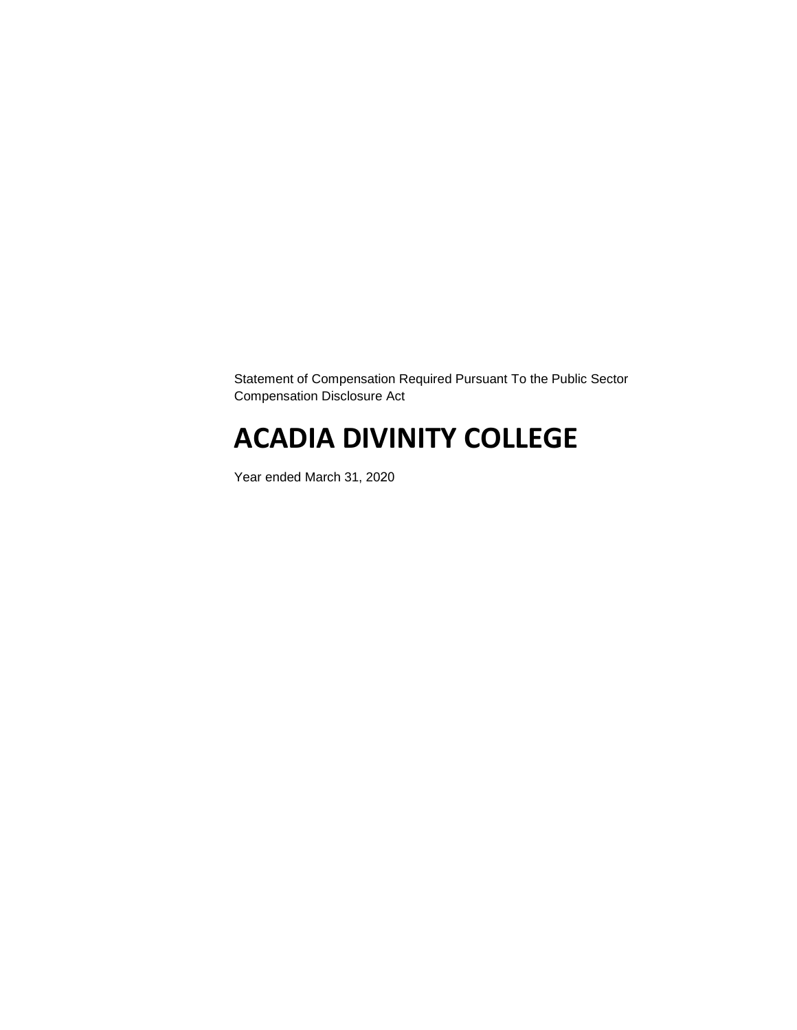Statement of Compensation Required Pursuant To the Public Sector Compensation Disclosure Act

# **ACADIA DIVINITY COLLEGE**

Year ended March 31, 2020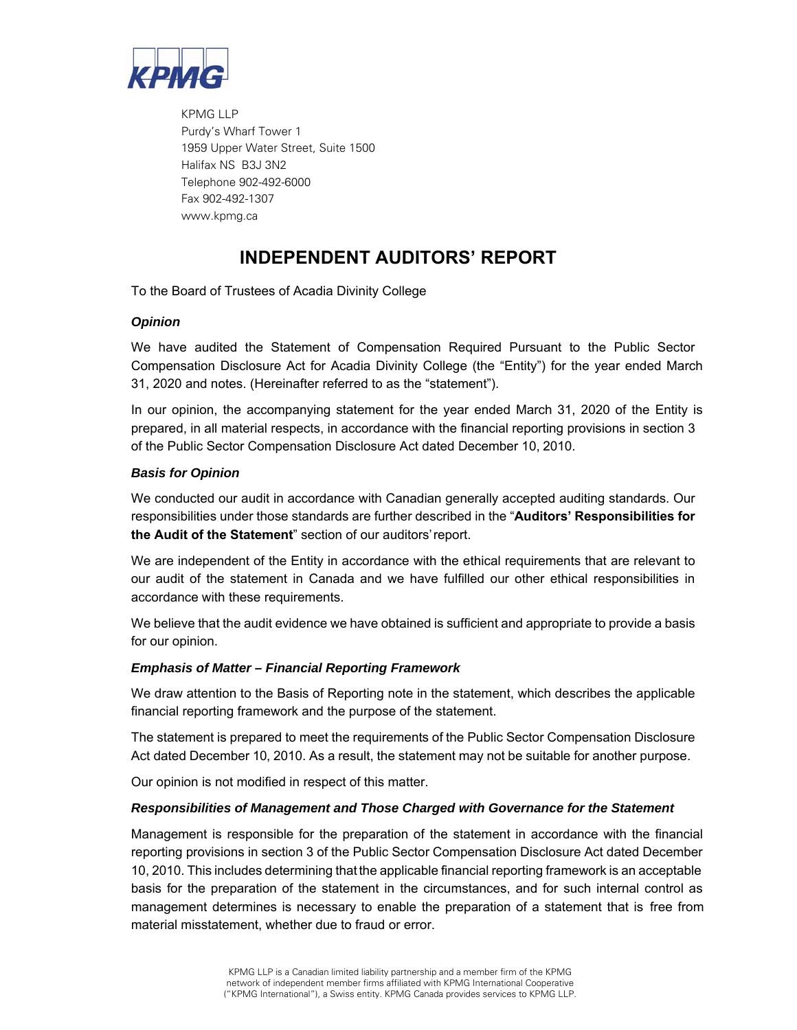

 KPMG LLP Purdy's Wharf Tower 1 1959 Upper Water Street, Suite 1500 Halifax NS B3J 3N2 Telephone 902-492-6000 Fax 902-492-1307 www.kpmg.ca

### **INDEPENDENT AUDITORS' REPORT**

To the Board of Trustees of Acadia Divinity College

### *Opinion*

We have audited the Statement of Compensation Required Pursuant to the Public Sector Compensation Disclosure Act for Acadia Divinity College (the "Entity") for the year ended March 31, 2020 and notes. (Hereinafter referred to as the "statement").

In our opinion, the accompanying statement for the year ended March 31, 2020 of the Entity is prepared, in all material respects, in accordance with the financial reporting provisions in section 3 of the Public Sector Compensation Disclosure Act dated December 10, 2010.

### *Basis for Opinion*

We conducted our audit in accordance with Canadian generally accepted auditing standards. Our responsibilities under those standards are further described in the "**Auditors' Responsibilities for the Audit of the Statement**" section of our auditors'report.

We are independent of the Entity in accordance with the ethical requirements that are relevant to our audit of the statement in Canada and we have fulfilled our other ethical responsibilities in accordance with these requirements.

We believe that the audit evidence we have obtained is sufficient and appropriate to provide a basis for our opinion.

#### *Emphasis of Matter – Financial Reporting Framework*

We draw attention to the Basis of Reporting note in the statement, which describes the applicable financial reporting framework and the purpose of the statement.

The statement is prepared to meet the requirements of the Public Sector Compensation Disclosure Act dated December 10, 2010. As a result, the statement may not be suitable for another purpose.

Our opinion is not modified in respect of this matter.

#### *Responsibilities of Management and Those Charged with Governance for the Statement*

Management is responsible for the preparation of the statement in accordance with the financial reporting provisions in section 3 of the Public Sector Compensation Disclosure Act dated December 10, 2010. This includes determining thatthe applicable financial reporting framework is an acceptable basis for the preparation of the statement in the circumstances, and for such internal control as management determines is necessary to enable the preparation of a statement that is free from material misstatement, whether due to fraud or error.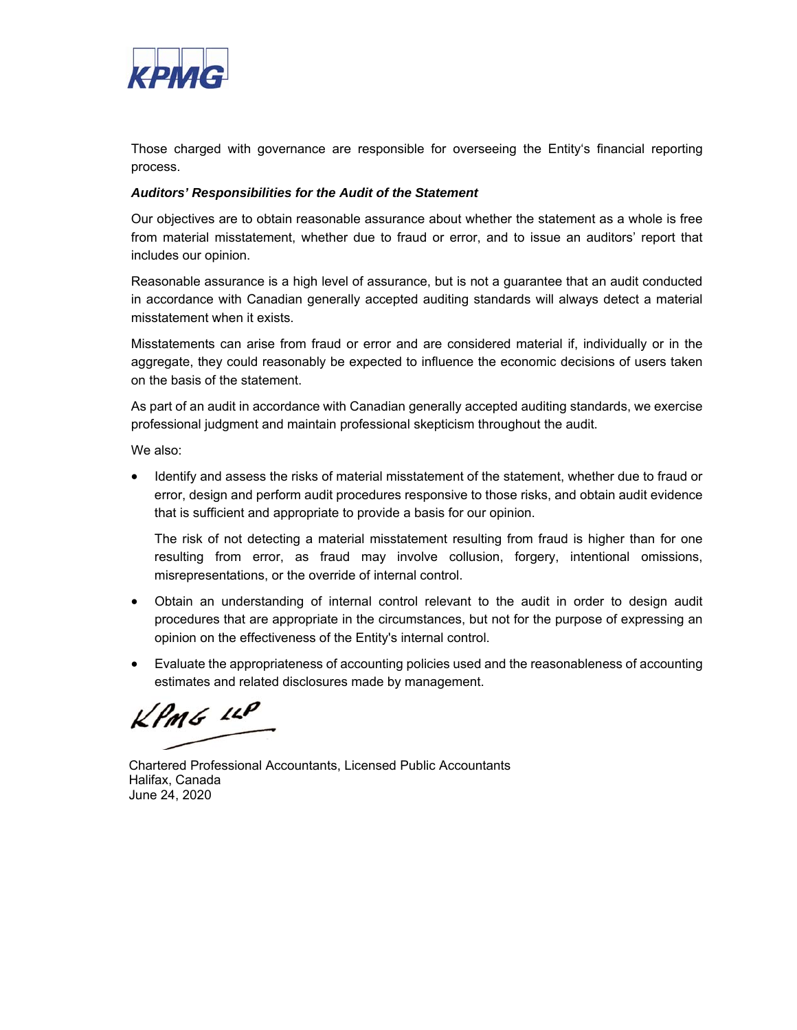

Those charged with governance are responsible for overseeing the Entity's financial reporting process.

### *Auditors' Responsibilities for the Audit of the Statement*

Our objectives are to obtain reasonable assurance about whether the statement as a whole is free from material misstatement, whether due to fraud or error, and to issue an auditors' report that includes our opinion.

Reasonable assurance is a high level of assurance, but is not a guarantee that an audit conducted in accordance with Canadian generally accepted auditing standards will always detect a material misstatement when it exists.

Misstatements can arise from fraud or error and are considered material if, individually or in the aggregate, they could reasonably be expected to influence the economic decisions of users taken on the basis of the statement.

As part of an audit in accordance with Canadian generally accepted auditing standards, we exercise professional judgment and maintain professional skepticism throughout the audit.

We also:

 Identify and assess the risks of material misstatement of the statement, whether due to fraud or error, design and perform audit procedures responsive to those risks, and obtain audit evidence that is sufficient and appropriate to provide a basis for our opinion.

The risk of not detecting a material misstatement resulting from fraud is higher than for one resulting from error, as fraud may involve collusion, forgery, intentional omissions, misrepresentations, or the override of internal control.

- Obtain an understanding of internal control relevant to the audit in order to design audit procedures that are appropriate in the circumstances, but not for the purpose of expressing an opinion on the effectiveness of the Entity's internal control.
- Evaluate the appropriateness of accounting policies used and the reasonableness of accounting estimates and related disclosures made by management.

 $k$ *PMG*  $\mu$ 

Chartered Professional Accountants, Licensed Public Accountants Halifax, Canada June 24, 2020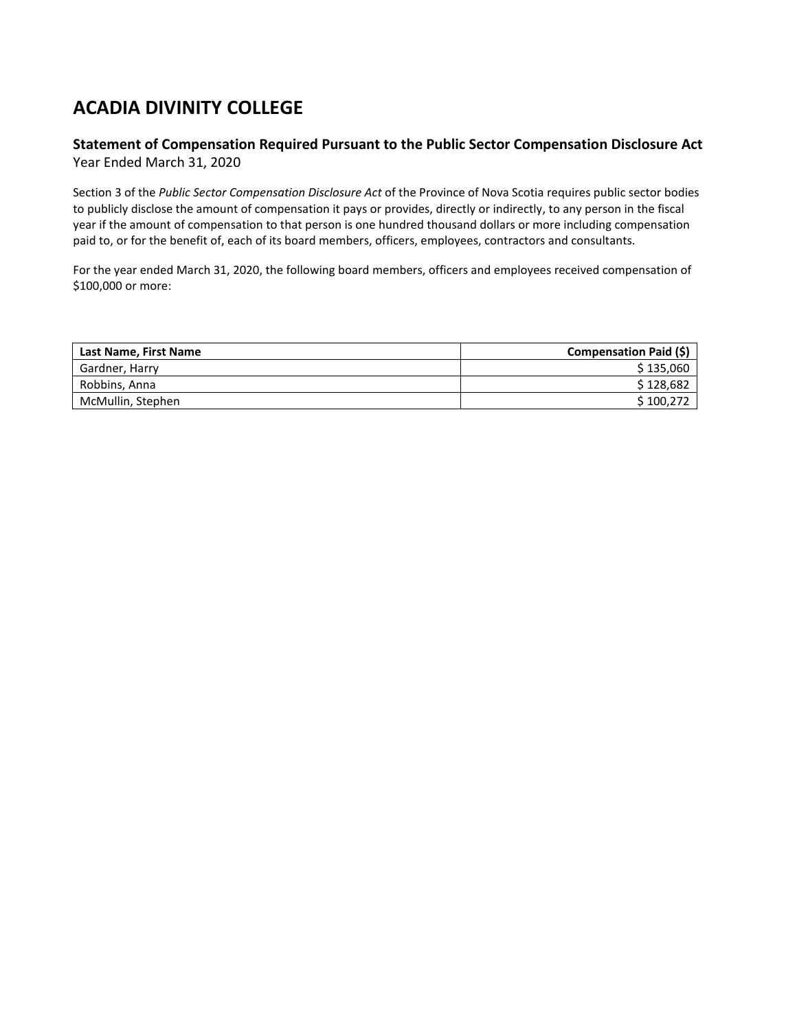# **ACADIA DIVINITY COLLEGE**

### **Statement of Compensation Required Pursuant to the Public Sector Compensation Disclosure Act** Year Ended March 31, 2020

Section 3 of the *Public Sector Compensation Disclosure Act* of the Province of Nova Scotia requires public sector bodies to publicly disclose the amount of compensation it pays or provides, directly or indirectly, to any person in the fiscal year if the amount of compensation to that person is one hundred thousand dollars or more including compensation paid to, or for the benefit of, each of its board members, officers, employees, contractors and consultants.

For the year ended March 31, 2020, the following board members, officers and employees received compensation of \$100,000 or more:

| Last Name, First Name | <b>Compensation Paid (\$)</b> |
|-----------------------|-------------------------------|
| Gardner, Harry        | \$135.060                     |
| Robbins, Anna         | \$128.682                     |
| McMullin, Stephen     | \$100.272                     |